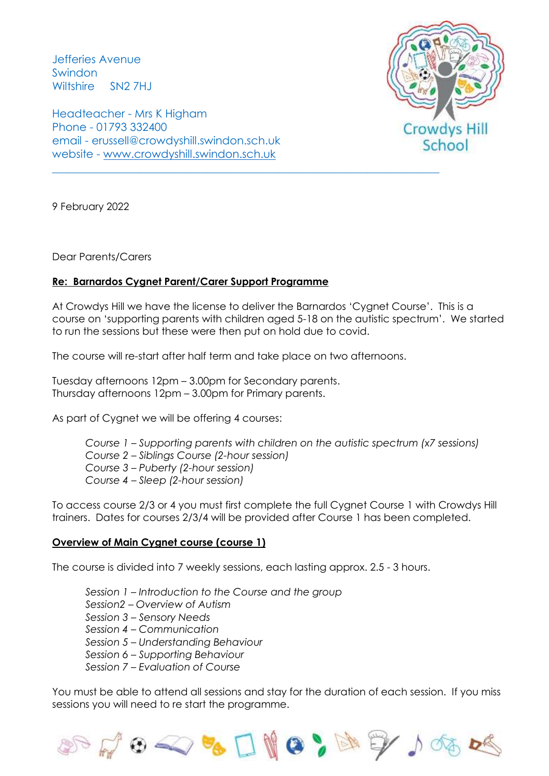Jefferies Avenue Swindon Wiltshire SN2 7HJ

Headteacher - Mrs K Higham Phone - 01793 332400 email - erussell@crowdyshill.swindon.sch.uk website - [www.crowdyshill.swindon.sch.uk](http://www.crowdyshill.swindon.sch.uk/)



9 February 2022

Dear Parents/Carers

## **Re: Barnardos Cygnet Parent/Carer Support Programme**

At Crowdys Hill we have the license to deliver the Barnardos 'Cygnet Course'. This is a course on 'supporting parents with children aged 5-18 on the autistic spectrum'. We started to run the sessions but these were then put on hold due to covid.

The course will re-start after half term and take place on two afternoons.

Tuesday afternoons 12pm – 3.00pm for Secondary parents. Thursday afternoons 12pm – 3.00pm for Primary parents.

As part of Cygnet we will be offering 4 courses:

*Course 1 – Supporting parents with children on the autistic spectrum (x7 sessions) Course 2 – Siblings Course (2-hour session) Course 3 – Puberty (2-hour session) Course 4 – Sleep (2-hour session)*

To access course 2/3 or 4 you must first complete the full Cygnet Course 1 with Crowdys Hill trainers. Dates for courses 2/3/4 will be provided after Course 1 has been completed.

## **Overview of Main Cygnet course (course 1)**

The course is divided into 7 weekly sessions, each lasting approx. 2.5 - 3 hours.

*Session 1 – Introduction to the Course and the group Session2 – Overview of Autism Session 3 – Sensory Needs Session 4 – Communication Session 5 – Understanding Behaviour Session 6 – Supporting Behaviour Session 7 – Evaluation of Course* 

You must be able to attend all sessions and stay for the duration of each session. If you miss sessions you will need to re start the programme.